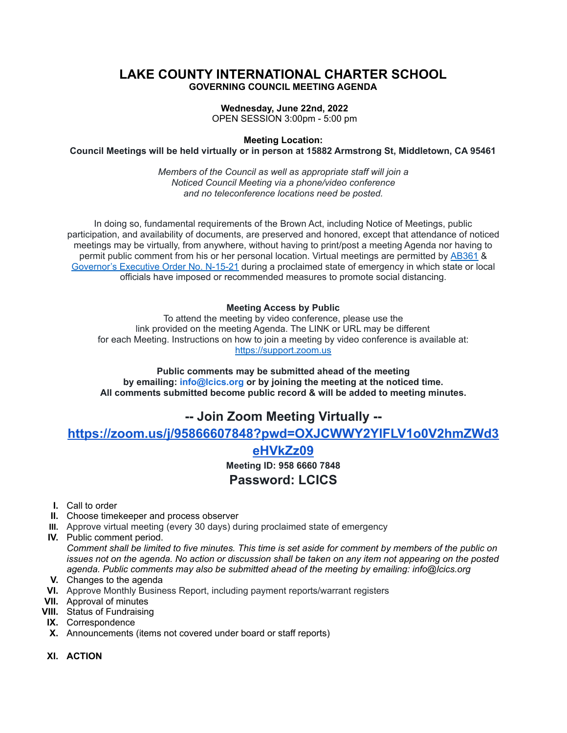### **LAKE COUNTY INTERNATIONAL CHARTER SCHOOL GOVERNING COUNCIL MEETING AGENDA**

#### **Wednesday, June 22nd, 2022**

OPEN SESSION 3:00pm - 5:00 pm

**Meeting Location:**

**Council Meetings will be held virtually or in person at 15882 Armstrong St, Middletown, CA 95461**

*Members of the Council as well as appropriate staff will join a Noticed Council Meeting via a phone/video conference and no teleconference locations need be posted.*

In doing so, fundamental requirements of the Brown Act, including Notice of Meetings, public participation, and availability of documents, are preserved and honored, except that attendance of noticed meetings may be virtually, from anywhere, without having to print/post a meeting Agenda nor having to permit public comment from his or her personal location. Virtual meetings are permitted by [AB361](https://leginfo.legislature.ca.gov/faces/billTextClient.xhtml?bill_id=202120220AB361) & [Governor's](https://www.gov.ca.gov/wp-content/uploads/2021/09/9.20.21-executive-order.pdf) Executive Order No. N-15-21 during a proclaimed state of emergency in which state or local officials have imposed or recommended measures to promote social distancing.

#### **Meeting Access by Public**

To attend the meeting by video conference, please use the link provided on the meeting Agenda. The LINK or URL may be different for each Meeting. Instructions on how to join a meeting by video conference is available at: [https://support.zoom.us](https://support.zoom.us/)

**Public comments may be submitted ahead of the meeting by emailing: info@lcics.org or by joining the meeting at the noticed time. All comments submitted become public record & will be added to meeting minutes.**

# **-- Join Zoom Meeting Virtually --**

**[https://zoom.us/j/95866607848?pwd=OXJCWWY2YlFLV1o0V2hmZWd3](https://zoom.us/j/95866607848?pwd=OXJCWWY2YlFLV1o0V2hmZWd3eHVkZz09)**

## **[eHVkZz09](https://zoom.us/j/95866607848?pwd=OXJCWWY2YlFLV1o0V2hmZWd3eHVkZz09)**

**Meeting ID: 958 6660 7848**

## **Password: LCICS**

- **I.** Call to order
- **II.** Choose timekeeper and process observer
- **III.** Approve virtual meeting (every 30 days) during proclaimed state of emergency
- **IV.** Public comment period.

Comment shall be limited to five minutes. This time is set aside for comment by members of the public on issues not on the agenda. No action or discussion shall be taken on any item not appearing on the posted *agenda. Public comments may also be submitted ahead of the meeting by emailing: info@lcics.org*

- **V.** Changes to the agenda
- **VI.** Approve Monthly Business Report, including payment reports/warrant registers
- **VII.** Approval of minutes
- **VIII.** Status of Fundraising
- **IX.** Correspondence
- **X.** Announcements (items not covered under board or staff reports)
- **XI. ACTION**